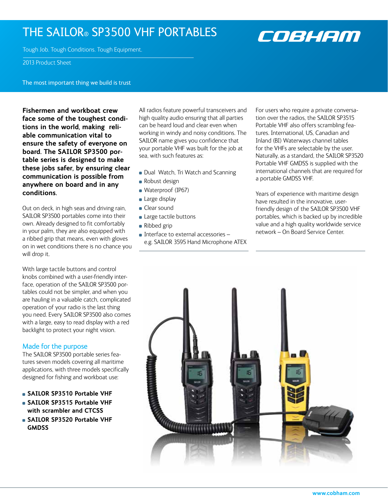## The SAILOR® SP3500 VHF PORTABLES



Tough Job. Tough Conditions. Tough Equipment.

2013 Product Sheet

The most important thing we build is trust

**Fishermen and workboat crew face some of the toughest conditions in the world, making reliable communication vital to ensure the safety of everyone on board. The SAILOR SP3500 portable series is designed to make these jobs safer, by ensuring clear communication is possible from anywhere on board and in any conditions.**

Out on deck, in high seas and driving rain, SAILOR SP3500 portables come into their own. Already designed to fit comfortably in your palm, they are also equipped with a ribbed grip that means, even with gloves on in wet conditions there is no chance you will drop it.

With large tactile buttons and control knobs combined with a user-friendly interface, operation of the SAILOR SP3500 portables could not be simpler, and when you are hauling in a valuable catch, complicated operation of your radio is the last thing you need. Every SAILOR SP3500 also comes with a large, easy to read display with a red backlight to protect your night vision.

### Made for the purpose

The SAILOR SP3500 portable series features seven models covering all maritime applications, with three models specifically designed for fishing and workboat use:

- **SAILOR SP3510 Portable VHF**
- **SAILOR SP3515 Portable VHF with scrambler and CTCSS**
- **SAILOR SP3520 Portable VHF GMDSS**

All radios feature powerful transceivers and high quality audio ensuring that all parties can be heard loud and clear even when working in windy and noisy conditions. The SAILOR name gives you confidence that your portable VHF was built for the job at sea, with such features as:

- Dual Watch, Tri Watch and Scanning
- Robust design
- Waterproof (IP67)
- **Large display**
- Clear sound
	- **Large tactile buttons**
	- Ribbed grip
	- $\blacksquare$  Interface to external accessories  $$ e.g. SAILOR 3595 Hand Microphone ATEX

For users who require a private conversation over the radios, the SAILOR SP3515 Portable VHF also offers scrambling features. International, US, Canadian and Inland (BI) Waterways channel tables for the VHFs are selectable by the user. Naturally, as a standard, the SAILOR SP3520 Portable VHF GMDSS is supplied with the international channels that are required for a portable GMDSS VHF.

Years of experience with maritime design have resulted in the innovative, userfriendly design of the SAILOR SP3500 VHF portables, which is backed up by incredible value and a high quality worldwide service network – On Board Service Center.